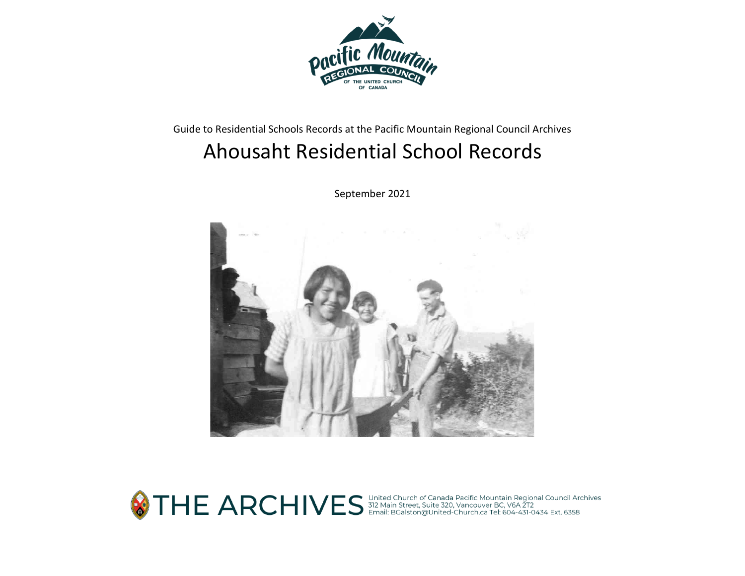

# Guide to Residential Schools Records at the Pacific Mountain Regional Council Archives Ahousaht Residential School Records

September 2021



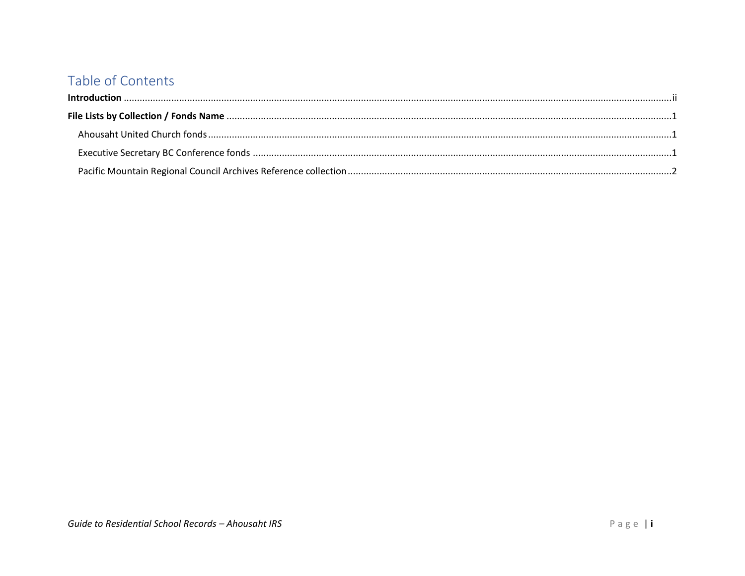## Table of Contents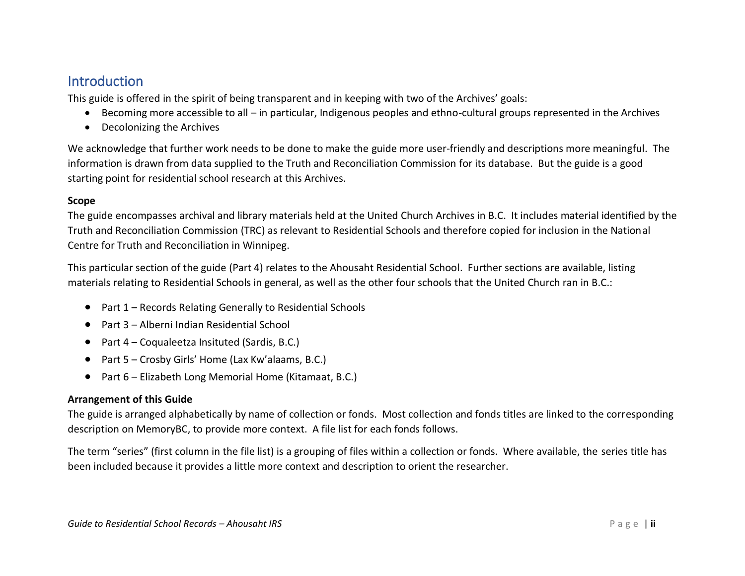## <span id="page-2-0"></span>**Introduction**

This guide is offered in the spirit of being transparent and in keeping with two of the Archives' goals:

- Becoming more accessible to all in particular, Indigenous peoples and ethno-cultural groups represented in the Archives
- Decolonizing the Archives

We acknowledge that further work needs to be done to make the guide more user-friendly and descriptions more meaningful. The information is drawn from data supplied to the Truth and Reconciliation Commission for its database. But the guide is a good starting point for residential school research at this Archives.

#### **Scope**

The guide encompasses archival and library materials held at the United Church Archives in B.C. It includes material identified by the Truth and Reconciliation Commission (TRC) as relevant to Residential Schools and therefore copied for inclusion in the National Centre for Truth and Reconciliation in Winnipeg.

This particular section of the guide (Part 4) relates to the Ahousaht Residential School. Further sections are available, listing materials relating to Residential Schools in general, as well as the other four schools that the United Church ran in B.C.:

- Part 1 Records Relating Generally to Residential Schools
- Part 3 Alberni Indian Residential School
- Part 4 Coqualeetza Insituted (Sardis, B.C.)
- Part 5 Crosby Girls' Home (Lax Kw'alaams, B.C.)
- Part 6 Elizabeth Long Memorial Home (Kitamaat, B.C.)

#### **Arrangement of this Guide**

The guide is arranged alphabetically by name of collection or fonds. Most collection and fonds titles are linked to the corresponding description on MemoryBC, to provide more context. A file list for each fonds follows.

The term "series" (first column in the file list) is a grouping of files within a collection or fonds. Where available, the series title has been included because it provides a little more context and description to orient the researcher.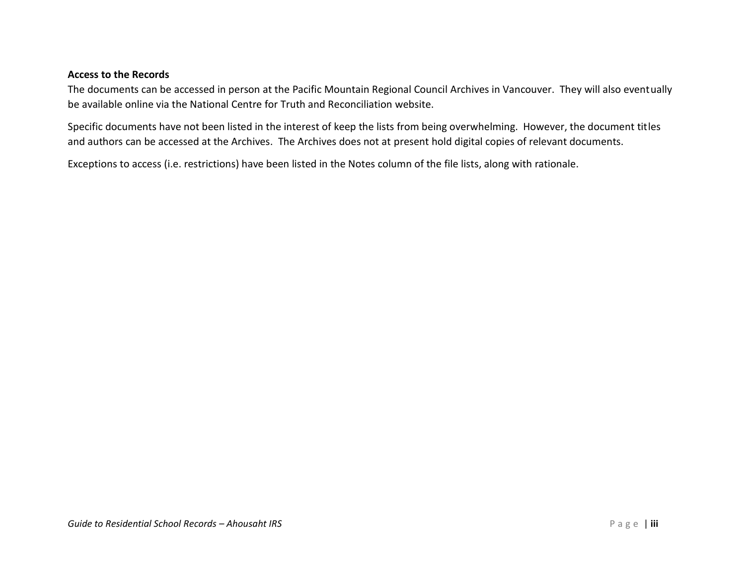#### **Access to the Records**

The documents can be accessed in person at the Pacific Mountain Regional Council Archives in Vancouver. They will also eventually be available online via the National Centre for Truth and Reconciliation website.

Specific documents have not been listed in the interest of keep the lists from being overwhelming. However, the document titles and authors can be accessed at the Archives. The Archives does not at present hold digital copies of relevant documents.

Exceptions to access (i.e. restrictions) have been listed in the Notes column of the file lists, along with rationale.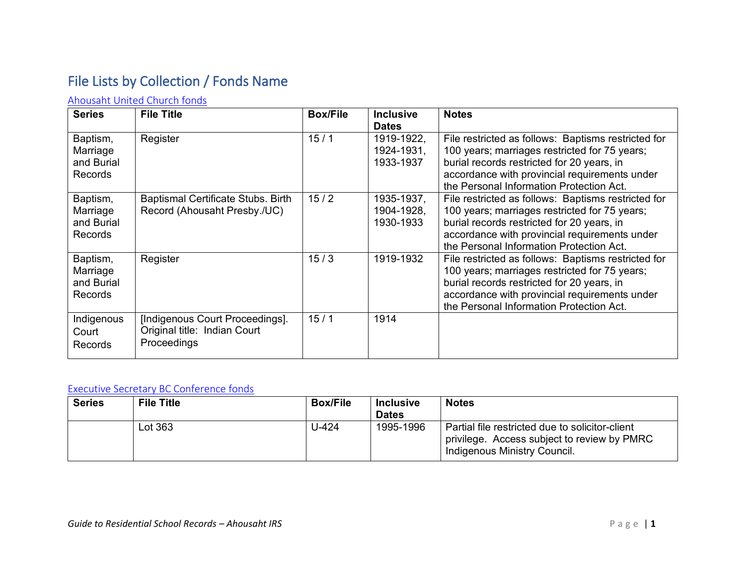# <span id="page-4-0"></span>File Lists by Collection / Fonds Name

### <span id="page-4-1"></span>[Ahousaht United Church fonds](https://www.memorybc.ca/ahousat-united-church-fonds)

| <b>Series</b>                                        | <b>File Title</b>                                                              | <b>Box/File</b> | <b>Inclusive</b><br><b>Dates</b>      | <b>Notes</b>                                                                                                                                                                                                                                    |
|------------------------------------------------------|--------------------------------------------------------------------------------|-----------------|---------------------------------------|-------------------------------------------------------------------------------------------------------------------------------------------------------------------------------------------------------------------------------------------------|
| Baptism,<br>Marriage<br>and Burial<br><b>Records</b> | Register                                                                       | 15/1            | 1919-1922,<br>1924-1931,<br>1933-1937 | File restricted as follows: Baptisms restricted for<br>100 years; marriages restricted for 75 years;<br>burial records restricted for 20 years, in<br>accordance with provincial requirements under<br>the Personal Information Protection Act. |
| Baptism,<br>Marriage<br>and Burial<br><b>Records</b> | Baptismal Certificate Stubs. Birth<br>Record (Ahousaht Presby./UC)             | 15/2            | 1935-1937,<br>1904-1928,<br>1930-1933 | File restricted as follows: Baptisms restricted for<br>100 years; marriages restricted for 75 years;<br>burial records restricted for 20 years, in<br>accordance with provincial requirements under<br>the Personal Information Protection Act. |
| Baptism,<br>Marriage<br>and Burial<br><b>Records</b> | Register                                                                       | 15/3            | 1919-1932                             | File restricted as follows: Baptisms restricted for<br>100 years; marriages restricted for 75 years;<br>burial records restricted for 20 years, in<br>accordance with provincial requirements under<br>the Personal Information Protection Act. |
| Indigenous<br>Court<br>Records                       | [Indigenous Court Proceedings].<br>Original title: Indian Court<br>Proceedings | 15/1            | 1914                                  |                                                                                                                                                                                                                                                 |

#### <span id="page-4-2"></span>[Executive Secretary BC Conference fonds](https://www.memorybc.ca/executive-secretary-fonds)

| <b>Series</b> | <b>File Title</b> | <b>Box/File</b> | <b>Inclusive</b><br><b>Dates</b> | <b>Notes</b>                                                                                                                   |
|---------------|-------------------|-----------------|----------------------------------|--------------------------------------------------------------------------------------------------------------------------------|
|               | Lot 363           | $U-424$         | 1995-1996                        | Partial file restricted due to solicitor-client<br>privilege. Access subject to review by PMRC<br>Indigenous Ministry Council. |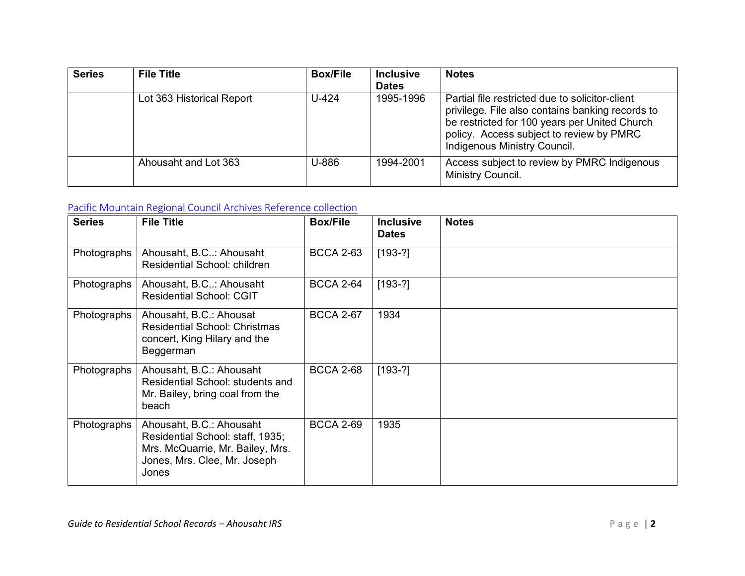| <b>Series</b> | <b>File Title</b>         | <b>Box/File</b> | <b>Inclusive</b><br><b>Dates</b> | <b>Notes</b>                                                                                                                                                                                                                     |
|---------------|---------------------------|-----------------|----------------------------------|----------------------------------------------------------------------------------------------------------------------------------------------------------------------------------------------------------------------------------|
|               | Lot 363 Historical Report | U-424           | 1995-1996                        | Partial file restricted due to solicitor-client<br>privilege. File also contains banking records to<br>be restricted for 100 years per United Church<br>policy. Access subject to review by PMRC<br>Indigenous Ministry Council. |
|               | Ahousaht and Lot 363      | U-886           | 1994-2001                        | Access subject to review by PMRC Indigenous<br>Ministry Council.                                                                                                                                                                 |

### <span id="page-5-0"></span>[Pacific Mountain Regional Council Archives Reference collection](https://www.memorybc.ca/united-church-of-canada-pacific-mountain-region-archives-reference-collection)

| <b>Series</b> | <b>File Title</b>                                                                                                                         | <b>Box/File</b>  | <b>Inclusive</b><br><b>Dates</b> | <b>Notes</b> |
|---------------|-------------------------------------------------------------------------------------------------------------------------------------------|------------------|----------------------------------|--------------|
| Photographs   | Ahousaht, B.C: Ahousaht<br><b>Residential School: children</b>                                                                            | <b>BCCA 2-63</b> | $[193-?]$                        |              |
| Photographs   | Ahousaht, B.C: Ahousaht<br><b>Residential School: CGIT</b>                                                                                | <b>BCCA 2-64</b> | $[193-?]$                        |              |
| Photographs   | Ahousaht, B.C.: Ahousat<br><b>Residential School: Christmas</b><br>concert, King Hilary and the<br>Beggerman                              | <b>BCCA 2-67</b> | 1934                             |              |
| Photographs   | Ahousaht, B.C.: Ahousaht<br>Residential School: students and<br>Mr. Bailey, bring coal from the<br>beach                                  | <b>BCCA 2-68</b> | $[193-?]$                        |              |
| Photographs   | Ahousaht, B.C.: Ahousaht<br>Residential School: staff, 1935;<br>Mrs. McQuarrie, Mr. Bailey, Mrs.<br>Jones, Mrs. Clee, Mr. Joseph<br>Jones | <b>BCCA 2-69</b> | 1935                             |              |